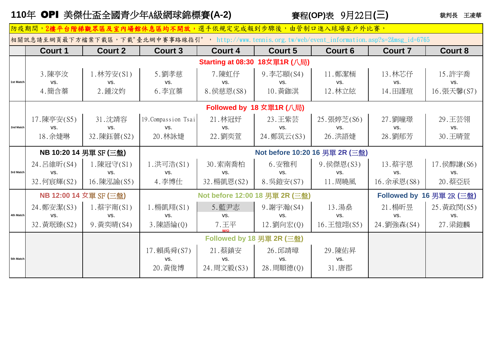## **110**年 OPI 美傑仕盃全國青少年A級網球錦標賽**(A-2)** 賽程**(OP)**表9月22日**(三)**

## 裁判長 王凌華

| <b>Court 8</b><br>15. 許宇喬<br>VS.<br>16.張天馨(S7) |  |  |  |  |  |  |  |  |
|------------------------------------------------|--|--|--|--|--|--|--|--|
|                                                |  |  |  |  |  |  |  |  |
|                                                |  |  |  |  |  |  |  |  |
|                                                |  |  |  |  |  |  |  |  |
|                                                |  |  |  |  |  |  |  |  |
|                                                |  |  |  |  |  |  |  |  |
|                                                |  |  |  |  |  |  |  |  |
| Followed by 18 女單1R (八局)                       |  |  |  |  |  |  |  |  |
| 29. 王芸翎                                        |  |  |  |  |  |  |  |  |
| VS.                                            |  |  |  |  |  |  |  |  |
| 30. 王晴萱                                        |  |  |  |  |  |  |  |  |
| Not before 10:20 16 男單 2R (三盤)                 |  |  |  |  |  |  |  |  |
| 17. 侯醇謙(S6)                                    |  |  |  |  |  |  |  |  |
| VS.                                            |  |  |  |  |  |  |  |  |
| 20. 蔡亞辰                                        |  |  |  |  |  |  |  |  |
| Followed by 16 男單 2R (三盤)                      |  |  |  |  |  |  |  |  |
| 25. 黄政閔(S5)                                    |  |  |  |  |  |  |  |  |
| VS.                                            |  |  |  |  |  |  |  |  |
| 27. 梁鎧麟                                        |  |  |  |  |  |  |  |  |
|                                                |  |  |  |  |  |  |  |  |
|                                                |  |  |  |  |  |  |  |  |
|                                                |  |  |  |  |  |  |  |  |
|                                                |  |  |  |  |  |  |  |  |
|                                                |  |  |  |  |  |  |  |  |